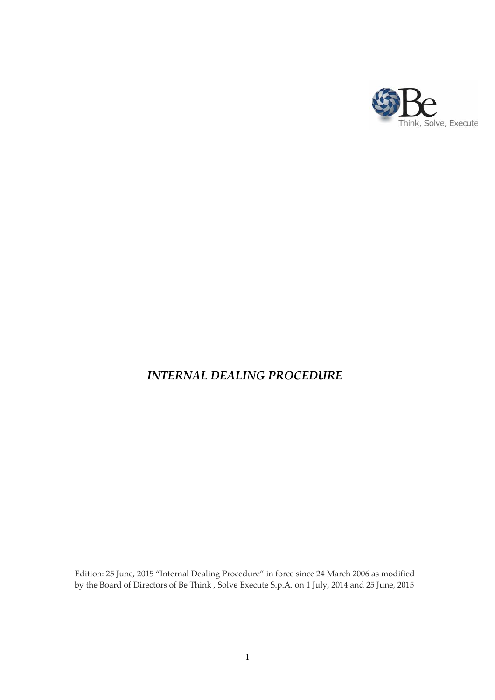

# *INTERNAL DEALING PROCEDURE*

Edition: 25 June, 2015 "Internal Dealing Procedure" in force since 24 March 2006 as modified by the Board of Directors of Be Think , Solve Execute S.p.A. on 1 July, 2014 and 25 June, 2015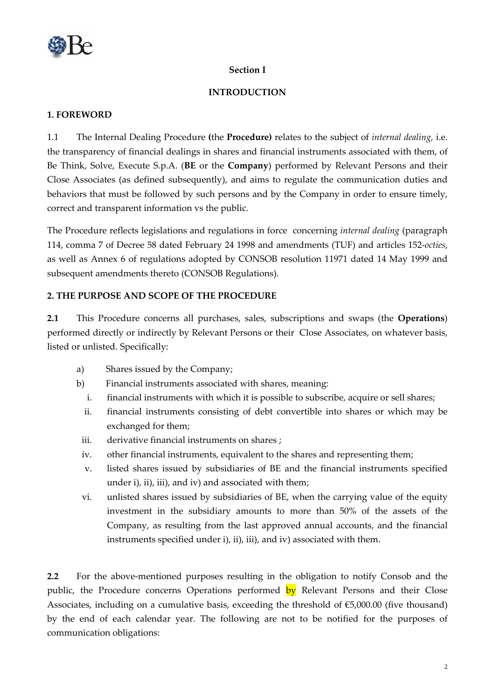

## **Section I**

## **INTRODUCTION**

#### **1. FOREWORD**

1.1 The Internal Dealing Procedure **(**the **Procedure)** relates to the subject of *internal dealing,* i.e. the transparency of financial dealings in shares and financial instruments associated with them, of Be Think, Solve, Execute S.p.A. (**BE** or the **Company**) performed by Relevant Persons and their Close Associates (as defined subsequently), and aims to regulate the communication duties and behaviors that must be followed by such persons and by the Company in order to ensure timely, correct and transparent information vs the public.

The Procedure reflects legislations and regulations in force concerning *internal dealing* (paragraph 114, comma 7 of Decree 58 dated February 24 1998 and amendments (TUF) and articles 152‐*octies*, as well as Annex 6 of regulations adopted by CONSOB resolution 11971 dated 14 May 1999 and subsequent amendments thereto (CONSOB Regulations).

## **2. THE PURPOSE AND SCOPE OF THE PROCEDURE**

**2.1** This Procedure concerns all purchases, sales, subscriptions and swaps (the **Operations**) performed directly or indirectly by Relevant Persons or their Close Associates, on whatever basis, listed or unlisted. Specifically:

- a) Shares issued by the Company;
- b) Financial instruments associated with shares, meaning:
	- i. financial instruments with which it is possible to subscribe, acquire or sell shares;
	- ii. financial instruments consisting of debt convertible into shares or which may be exchanged for them;
	- iii. derivative financial instruments on shares;
	- iv. other financial instruments, equivalent to the shares and representing them;
	- v. listed shares issued by subsidiaries of BE and the financial instruments specified under i), ii), iii), and iv) and associated with them;
	- vi. unlisted shares issued by subsidiaries of BE, when the carrying value of the equity investment in the subsidiary amounts to more than 50% of the assets of the Company, as resulting from the last approved annual accounts, and the financial instruments specified under i), ii), iii), and iv) associated with them.

**2.2** For the above‐mentioned purposes resulting in the obligation to notify Consob and the public, the Procedure concerns Operations performed by Relevant Persons and their Close Associates, including on a cumulative basis, exceeding the threshold of  $E$ 5,000.00 (five thousand) by the end of each calendar year. The following are not to be notified for the purposes of communication obligations: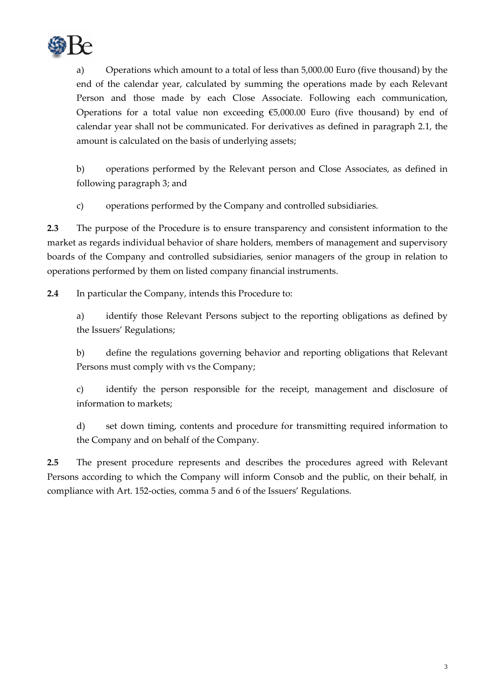

a) Operations which amount to a total of less than 5,000.00 Euro (five thousand) by the end of the calendar year, calculated by summing the operations made by each Relevant Person and those made by each Close Associate. Following each communication, Operations for a total value non exceeding  $€5,000.00$  Euro (five thousand) by end of calendar year shall not be communicated. For derivatives as defined in paragraph 2.1, the amount is calculated on the basis of underlying assets;

b) operations performed by the Relevant person and Close Associates, as defined in following paragraph 3; and

c) operations performed by the Company and controlled subsidiaries.

**2.3** The purpose of the Procedure is to ensure transparency and consistent information to the market as regards individual behavior of share holders, members of management and supervisory boards of the Company and controlled subsidiaries, senior managers of the group in relation to operations performed by them on listed company financial instruments.

**2.4** In particular the Company, intends this Procedure to:

a) identify those Relevant Persons subject to the reporting obligations as defined by the Issuers' Regulations;

b) define the regulations governing behavior and reporting obligations that Relevant Persons must comply with vs the Company;

c) identify the person responsible for the receipt, management and disclosure of information to markets;

d) set down timing, contents and procedure for transmitting required information to the Company and on behalf of the Company.

**2.5** The present procedure represents and describes the procedures agreed with Relevant Persons according to which the Company will inform Consob and the public, on their behalf, in compliance with Art. 152‐octies, comma 5 and 6 of the Issuers' Regulations.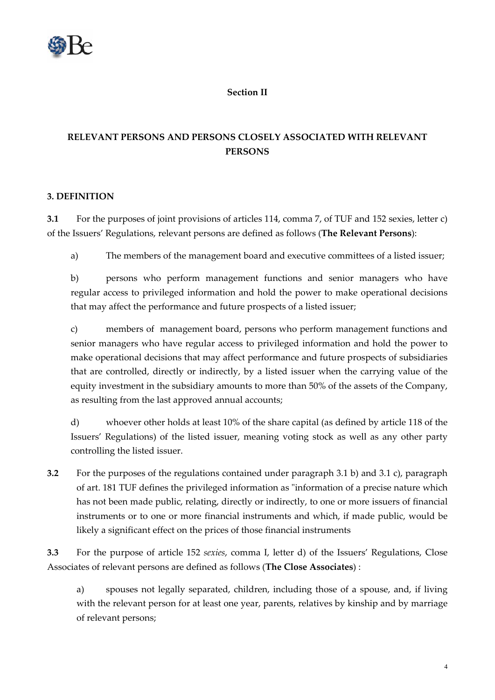

## **Section II**

# **RELEVANT PERSONS AND PERSONS CLOSELY ASSOCIATED WITH RELEVANT PERSONS**

## **3. DEFINITION**

**3.1** For the purposes of joint provisions of articles 114, comma 7, of TUF and 152 sexies, letter c) of the Issuers' Regulations, relevant persons are defined as follows (**The Relevant Persons**):

a) The members of the management board and executive committees of a listed issuer;

b) persons who perform management functions and senior managers who have regular access to privileged information and hold the power to make operational decisions that may affect the performance and future prospects of a listed issuer;

c) members of management board, persons who perform management functions and senior managers who have regular access to privileged information and hold the power to make operational decisions that may affect performance and future prospects of subsidiaries that are controlled, directly or indirectly, by a listed issuer when the carrying value of the equity investment in the subsidiary amounts to more than 50% of the assets of the Company, as resulting from the last approved annual accounts;

d) whoever other holds at least 10% of the share capital (as defined by article 118 of the Issuers' Regulations) of the listed issuer, meaning voting stock as well as any other party controlling the listed issuer.

**3.2** For the purposes of the regulations contained under paragraph 3.1 b) and 3.1 c), paragraph of art. 181 TUF defines the privileged information as "information of a precise nature which has not been made public, relating, directly or indirectly, to one or more issuers of financial instruments or to one or more financial instruments and which, if made public, would be likely a significant effect on the prices of those financial instruments

**3.3** For the purpose of article 152 *sexies*, comma I, letter d) of the Issuers' Regulations, Close Associates of relevant persons are defined as follows (**The Close Associates**) :

a) spouses not legally separated, children, including those of a spouse, and, if living with the relevant person for at least one year, parents, relatives by kinship and by marriage of relevant persons;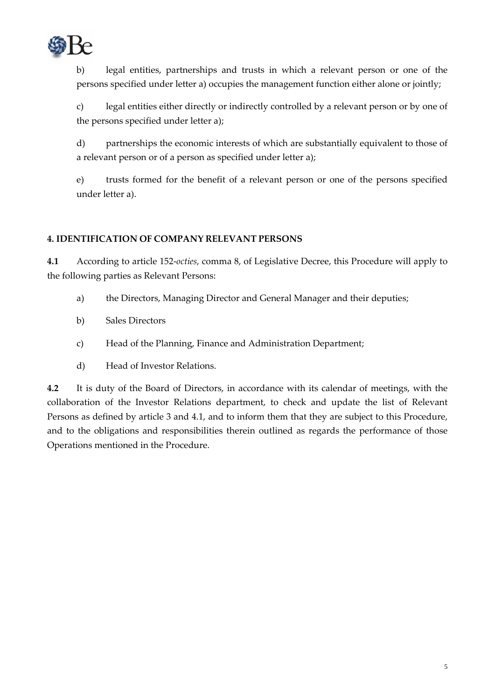

b) legal entities, partnerships and trusts in which a relevant person or one of the persons specified under letter a) occupies the management function either alone or jointly;

c) legal entities either directly or indirectly controlled by a relevant person or by one of the persons specified under letter a);

d) partnerships the economic interests of which are substantially equivalent to those of a relevant person or of a person as specified under letter a);

e) trusts formed for the benefit of a relevant person or one of the persons specified under letter a).

## **4. IDENTIFICATION OF COMPANY RELEVANT PERSONS**

**4.1** According to article 152‐*octies*, comma 8, of Legislative Decree, this Procedure will apply to the following parties as Relevant Persons:

- a) the Directors, Managing Director and General Manager and their deputies;
- b) Sales Directors
- c) Head of the Planning, Finance and Administration Department;
- d) Head of Investor Relations.

**4.2** It is duty of the Board of Directors, in accordance with its calendar of meetings, with the collaboration of the Investor Relations department, to check and update the list of Relevant Persons as defined by article 3 and 4.1, and to inform them that they are subject to this Procedure, and to the obligations and responsibilities therein outlined as regards the performance of those Operations mentioned in the Procedure.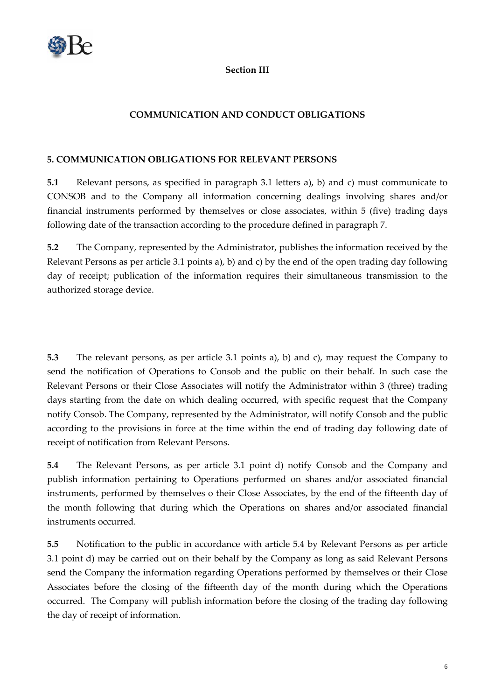

#### **Section III**

## **COMMUNICATION AND CONDUCT OBLIGATIONS**

## **5. COMMUNICATION OBLIGATIONS FOR RELEVANT PERSONS**

**5.1** Relevant persons, as specified in paragraph 3.1 letters a), b) and c) must communicate to CONSOB and to the Company all information concerning dealings involving shares and/or financial instruments performed by themselves or close associates, within 5 (five) trading days following date of the transaction according to the procedure defined in paragraph 7.

**5.2** The Company, represented by the Administrator, publishes the information received by the Relevant Persons as per article 3.1 points a), b) and c) by the end of the open trading day following day of receipt; publication of the information requires their simultaneous transmission to the authorized storage device.

**5.3** The relevant persons, as per article 3.1 points a), b) and c), may request the Company to send the notification of Operations to Consob and the public on their behalf. In such case the Relevant Persons or their Close Associates will notify the Administrator within 3 (three) trading days starting from the date on which dealing occurred, with specific request that the Company notify Consob. The Company, represented by the Administrator, will notify Consob and the public according to the provisions in force at the time within the end of trading day following date of receipt of notification from Relevant Persons.

**5.4** The Relevant Persons, as per article 3.1 point d) notify Consob and the Company and publish information pertaining to Operations performed on shares and/or associated financial instruments, performed by themselves o their Close Associates, by the end of the fifteenth day of the month following that during which the Operations on shares and/or associated financial instruments occurred.

**5.5** Notification to the public in accordance with article 5.4 by Relevant Persons as per article 3.1 point d) may be carried out on their behalf by the Company as long as said Relevant Persons send the Company the information regarding Operations performed by themselves or their Close Associates before the closing of the fifteenth day of the month during which the Operations occurred. The Company will publish information before the closing of the trading day following the day of receipt of information.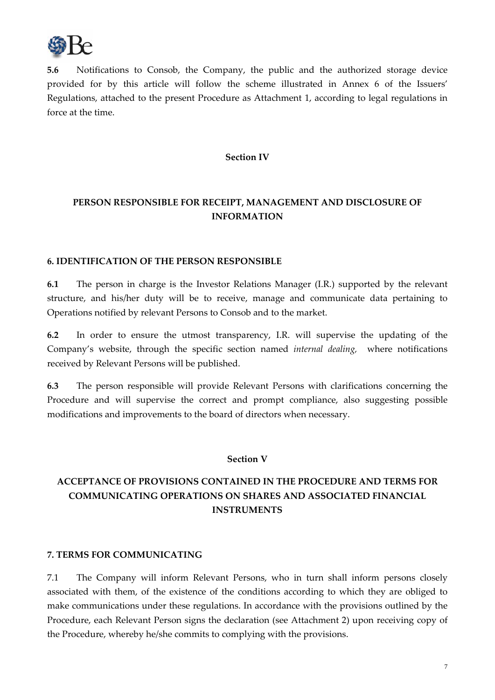

**5.6** Notifications to Consob, the Company, the public and the authorized storage device provided for by this article will follow the scheme illustrated in Annex 6 of the Issuers' Regulations, attached to the present Procedure as Attachment 1, according to legal regulations in force at the time.

#### **Section IV**

# **PERSON RESPONSIBLE FOR RECEIPT, MANAGEMENT AND DISCLOSURE OF INFORMATION**

#### **6. IDENTIFICATION OF THE PERSON RESPONSIBLE**

**6.1** The person in charge is the Investor Relations Manager (I.R.) supported by the relevant structure, and his/her duty will be to receive, manage and communicate data pertaining to Operations notified by relevant Persons to Consob and to the market.

**6.2** In order to ensure the utmost transparency, I.R. will supervise the updating of the Company's website, through the specific section named *internal dealing,* where notifications received by Relevant Persons will be published.

**6.3** The person responsible will provide Relevant Persons with clarifications concerning the Procedure and will supervise the correct and prompt compliance, also suggesting possible modifications and improvements to the board of directors when necessary.

#### **Section V**

# **ACCEPTANCE OF PROVISIONS CONTAINED IN THE PROCEDURE AND TERMS FOR COMMUNICATING OPERATIONS ON SHARES AND ASSOCIATED FINANCIAL INSTRUMENTS**

#### **7. TERMS FOR COMMUNICATING**

7.1 The Company will inform Relevant Persons, who in turn shall inform persons closely associated with them, of the existence of the conditions according to which they are obliged to make communications under these regulations. In accordance with the provisions outlined by the Procedure, each Relevant Person signs the declaration (see Attachment 2) upon receiving copy of the Procedure, whereby he/she commits to complying with the provisions.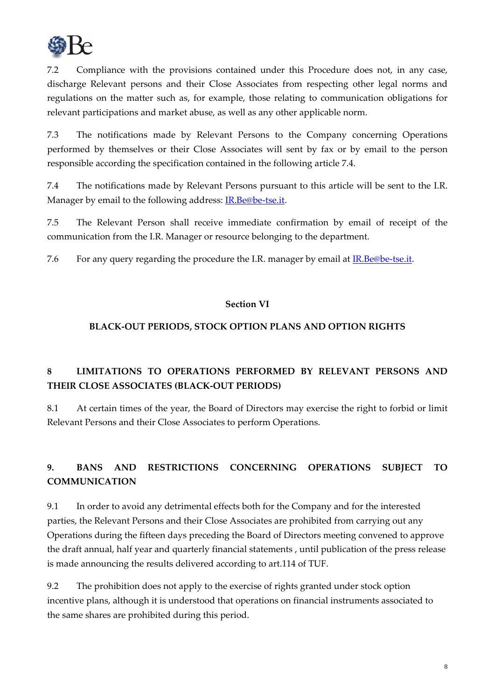

7.2 Compliance with the provisions contained under this Procedure does not, in any case, discharge Relevant persons and their Close Associates from respecting other legal norms and regulations on the matter such as, for example, those relating to communication obligations for relevant participations and market abuse, as well as any other applicable norm.

7.3 The notifications made by Relevant Persons to the Company concerning Operations performed by themselves or their Close Associates will sent by fax or by email to the person responsible according the specification contained in the following article 7.4.

7.4 The notifications made by Relevant Persons pursuant to this article will be sent to the I.R. Manager by email to the following address: IR.Be@be-tse.it.

7.5 The Relevant Person shall receive immediate confirmation by email of receipt of the communication from the I.R. Manager or resource belonging to the department.

7.6 For any query regarding the procedure the I.R. manager by email at IR.Be@be-tse.it.

## **Section VI**

## **BLACK‐OUT PERIODS, STOCK OPTION PLANS AND OPTION RIGHTS**

# **8 LIMITATIONS TO OPERATIONS PERFORMED BY RELEVANT PERSONS AND THEIR CLOSE ASSOCIATES (BLACK‐OUT PERIODS)**

8.1 At certain times of the year, the Board of Directors may exercise the right to forbid or limit Relevant Persons and their Close Associates to perform Operations.

# **9. BANS AND RESTRICTIONS CONCERNING OPERATIONS SUBJECT TO COMMUNICATION**

9.1 In order to avoid any detrimental effects both for the Company and for the interested parties, the Relevant Persons and their Close Associates are prohibited from carrying out any Operations during the fifteen days preceding the Board of Directors meeting convened to approve the draft annual, half year and quarterly financial statements , until publication of the press release is made announcing the results delivered according to art.114 of TUF.

9.2 The prohibition does not apply to the exercise of rights granted under stock option incentive plans, although it is understood that operations on financial instruments associated to the same shares are prohibited during this period.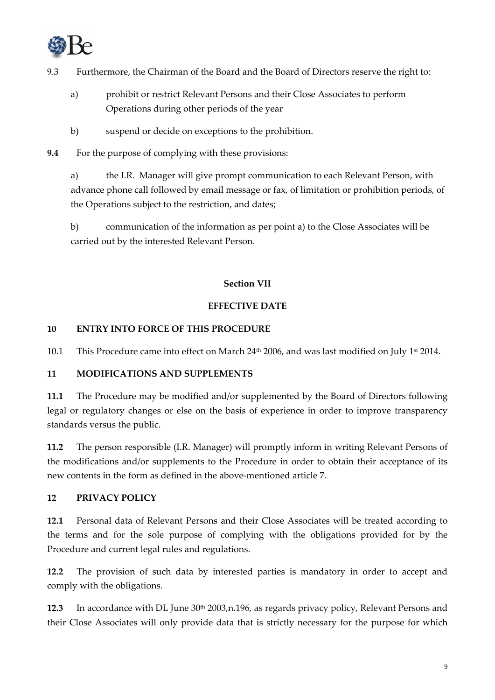

- 9.3 Furthermore, the Chairman of the Board and the Board of Directors reserve the right to:
	- a) prohibit or restrict Relevant Persons and their Close Associates to perform Operations during other periods of the year
	- b) suspend or decide on exceptions to the prohibition.
- **9.4** For the purpose of complying with these provisions:

a) the I.R. Manager will give prompt communication to each Relevant Person, with advance phone call followed by email message or fax, of limitation or prohibition periods, of the Operations subject to the restriction, and dates;

b) communication of the information as per point a) to the Close Associates will be carried out by the interested Relevant Person.

## **Section VII**

## **EFFECTIVE DATE**

## **10 ENTRY INTO FORCE OF THIS PROCEDURE**

10.1 This Procedure came into effect on March 24<sup>th</sup> 2006, and was last modified on July 1<sup>st</sup> 2014.

## **11 MODIFICATIONS AND SUPPLEMENTS**

**11.1** The Procedure may be modified and/or supplemented by the Board of Directors following legal or regulatory changes or else on the basis of experience in order to improve transparency standards versus the public.

**11.2** The person responsible (I.R. Manager) will promptly inform in writing Relevant Persons of the modifications and/or supplements to the Procedure in order to obtain their acceptance of its new contents in the form as defined in the above‐mentioned article 7.

## **12 PRIVACY POLICY**

**12.1** Personal data of Relevant Persons and their Close Associates will be treated according to the terms and for the sole purpose of complying with the obligations provided for by the Procedure and current legal rules and regulations.

**12.2** The provision of such data by interested parties is mandatory in order to accept and comply with the obligations.

**12.3** In accordance with DL June 30th 2003,n.196, as regards privacy policy, Relevant Persons and their Close Associates will only provide data that is strictly necessary for the purpose for which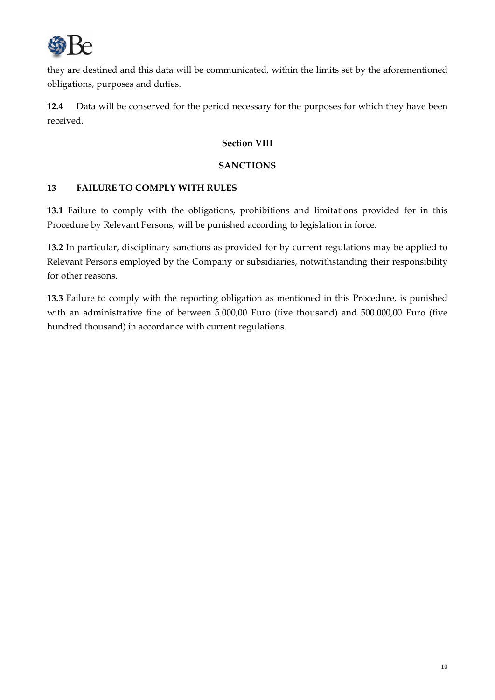

they are destined and this data will be communicated, within the limits set by the aforementioned obligations, purposes and duties.

**12.4** Data will be conserved for the period necessary for the purposes for which they have been received.

## **Section VIII**

## **SANCTIONS**

## **13 FAILURE TO COMPLY WITH RULES**

**13.1** Failure to comply with the obligations, prohibitions and limitations provided for in this Procedure by Relevant Persons, will be punished according to legislation in force.

**13.2** In particular, disciplinary sanctions as provided for by current regulations may be applied to Relevant Persons employed by the Company or subsidiaries, notwithstanding their responsibility for other reasons.

**13.3** Failure to comply with the reporting obligation as mentioned in this Procedure, is punished with an administrative fine of between 5.000,00 Euro (five thousand) and 500.000,00 Euro (five hundred thousand) in accordance with current regulations.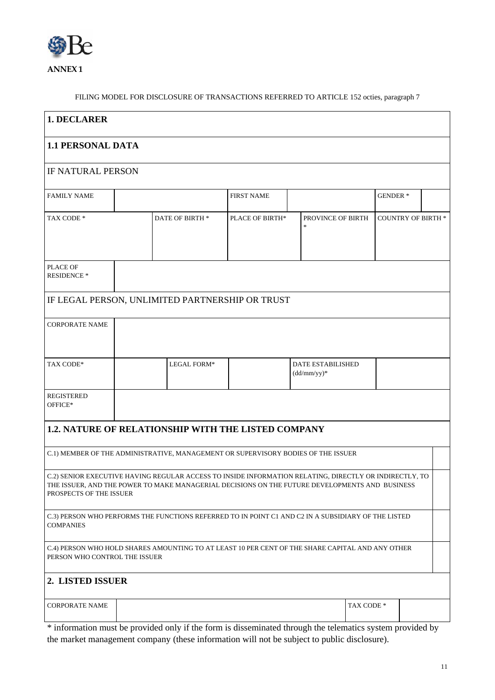

FILING MODEL FOR DISCLOSURE OF TRANSACTIONS REFERRED TO ARTICLE 152 octies, paragraph 7

| 1. DECLARER                                                                                                                                                                                                                         |                 |             |                   |                                    |            |                           |  |
|-------------------------------------------------------------------------------------------------------------------------------------------------------------------------------------------------------------------------------------|-----------------|-------------|-------------------|------------------------------------|------------|---------------------------|--|
| <b>1.1 PERSONAL DATA</b>                                                                                                                                                                                                            |                 |             |                   |                                    |            |                           |  |
| <b>IF NATURAL PERSON</b>                                                                                                                                                                                                            |                 |             |                   |                                    |            |                           |  |
| <b>FAMILY NAME</b>                                                                                                                                                                                                                  |                 |             | <b>FIRST NAME</b> |                                    |            | <b>GENDER*</b>            |  |
| TAX CODE *                                                                                                                                                                                                                          | DATE OF BIRTH * |             | PLACE OF BIRTH*   | PROVINCE OF BIRTH                  |            | <b>COUNTRY OF BIRTH *</b> |  |
| PLACE OF<br><b>RESIDENCE *</b>                                                                                                                                                                                                      |                 |             |                   |                                    |            |                           |  |
| IF LEGAL PERSON, UNLIMITED PARTNERSHIP OR TRUST                                                                                                                                                                                     |                 |             |                   |                                    |            |                           |  |
| <b>CORPORATE NAME</b>                                                                                                                                                                                                               |                 |             |                   |                                    |            |                           |  |
| TAX CODE*                                                                                                                                                                                                                           |                 | LEGAL FORM* |                   | DATE ESTABILISHED<br>$(dd/mm/yy)*$ |            |                           |  |
| <b>REGISTERED</b><br>OFFICE*                                                                                                                                                                                                        |                 |             |                   |                                    |            |                           |  |
| <b>1.2. NATURE OF RELATIONSHIP WITH THE LISTED COMPANY</b>                                                                                                                                                                          |                 |             |                   |                                    |            |                           |  |
| C.1) MEMBER OF THE ADMINISTRATIVE, MANAGEMENT OR SUPERVISORY BODIES OF THE ISSUER                                                                                                                                                   |                 |             |                   |                                    |            |                           |  |
| C.2) SENIOR EXECUTIVE HAVING REGULAR ACCESS TO INSIDE INFORMATION RELATING, DIRECTLY OR INDIRECTLY, TO<br>THE ISSUER, AND THE POWER TO MAKE MANAGERIAL DECISIONS ON THE FUTURE DEVELOPMENTS AND BUSINESS<br>PROSPECTS OF THE ISSUER |                 |             |                   |                                    |            |                           |  |
| C.3) PERSON WHO PERFORMS THE FUNCTIONS REFERRED TO IN POINT C1 AND C2 IN A SUBSIDIARY OF THE LISTED<br><b>COMPANIES</b>                                                                                                             |                 |             |                   |                                    |            |                           |  |
| C.4) PERSON WHO HOLD SHARES AMOUNTING TO AT LEAST 10 PER CENT OF THE SHARE CAPITAL AND ANY OTHER<br>PERSON WHO CONTROL THE ISSUER                                                                                                   |                 |             |                   |                                    |            |                           |  |
| 2. LISTED ISSUER                                                                                                                                                                                                                    |                 |             |                   |                                    |            |                           |  |
| <b>CORPORATE NAME</b>                                                                                                                                                                                                               |                 |             |                   |                                    | TAX CODE * |                           |  |

\* information must be provided only if the form is disseminated through the telematics system provided by the market management company (these information will not be subject to public disclosure).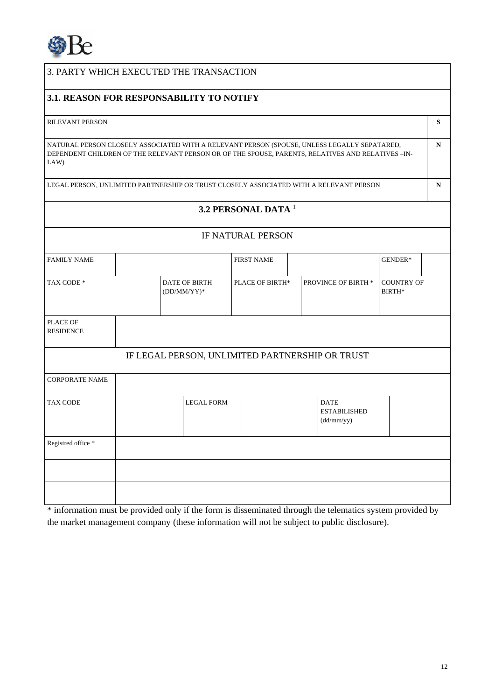

# 3. PARTY WHICH EXECUTED THE TRANSACTION

## **3.1. REASON FOR RESPONSABILITY TO NOTIFY**

#### RILEVANT PERSON **S**

NATURAL PERSON CLOSELY ASSOCIATED WITH A RELEVANT PERSON (SPOUSE, UNLESS LEGALLY SEPATARED, DEPENDENT CHILDREN OF THE RELEVANT PERSON OR OF THE SPOUSE, PARENTS, RELATIVES AND RELATIVES –IN-LAW)

LEGAL PERSON, UNLIMITED PARTNERSHIP OR TRUST CLOSELY ASSOCIATED WITH A RELEVANT PERSON **N** 

**N** 

## **3.2 PERSONAL DATA** <sup>1</sup>

# IF NATURAL PERSON

| <b>FAMILY NAME</b>           |                                                 |                                        | <b>FIRST NAME</b>      |  |                                                  | GENDER*                     |  |
|------------------------------|-------------------------------------------------|----------------------------------------|------------------------|--|--------------------------------------------------|-----------------------------|--|
| TAX CODE *                   |                                                 | <b>DATE OF BIRTH</b><br>$(DD/MM/YY)^*$ | <b>PLACE OF BIRTH*</b> |  | PROVINCE OF BIRTH *                              | <b>COUNTRY OF</b><br>BIRTH* |  |
| PLACE OF<br><b>RESIDENCE</b> |                                                 |                                        |                        |  |                                                  |                             |  |
|                              | IF LEGAL PERSON, UNLIMITED PARTNERSHIP OR TRUST |                                        |                        |  |                                                  |                             |  |
| <b>CORPORATE NAME</b>        |                                                 |                                        |                        |  |                                                  |                             |  |
| <b>TAX CODE</b>              |                                                 | <b>LEGAL FORM</b>                      |                        |  | <b>DATE</b><br><b>ESTABILISHED</b><br>(dd/mm/yy) |                             |  |
| Registred office *           |                                                 |                                        |                        |  |                                                  |                             |  |
|                              |                                                 |                                        |                        |  |                                                  |                             |  |
|                              |                                                 |                                        |                        |  |                                                  |                             |  |

\* information must be provided only if the form is disseminated through the telematics system provided by the market management company (these information will not be subject to public disclosure).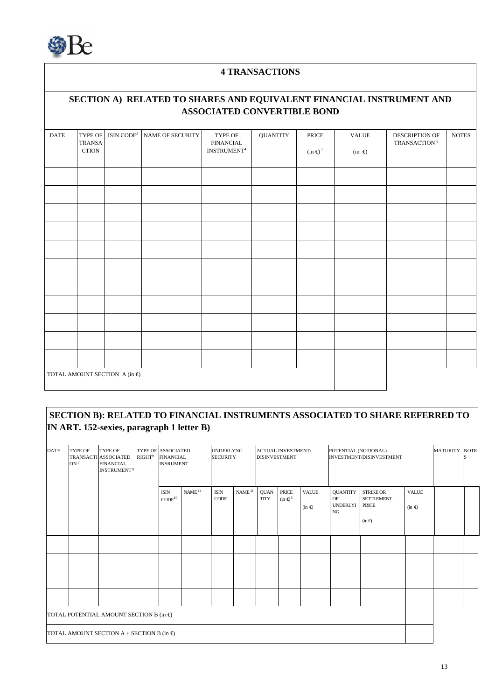

## **4 TRANSACTIONS**

## **SECTION A) RELATED TO SHARES AND EQUIVALENT FINANCIAL INSTRUMENT AND ASSOCIATED CONVERTIBLE BOND**

| <b>DATE</b> | TYPE OF<br>TRANSA<br>$\rm CTION$ | $\text{ISIN~CODE}^3$                             | <b>NAME OF SECURITY</b> | $\ensuremath{\mathsf{T}}\ensuremath{\mathsf{YPE}}$ OF<br>${\small\texttt{FINANCIAL}}$<br>$\mathrm{INSTRUMENT}^4$ | <b>QUANTITY</b> | PRICE<br>$(in \infty)$ <sup>5</sup> | $\ensuremath{\mathsf{VALUE}}$<br>(in $\boldsymbol{\epsilon}$ ) | DESCRIPTION OF<br>TRANSACTION $^6\,$ | $\operatorname{NOTES}$ |
|-------------|----------------------------------|--------------------------------------------------|-------------------------|------------------------------------------------------------------------------------------------------------------|-----------------|-------------------------------------|----------------------------------------------------------------|--------------------------------------|------------------------|
|             |                                  |                                                  |                         |                                                                                                                  |                 |                                     |                                                                |                                      |                        |
|             |                                  |                                                  |                         |                                                                                                                  |                 |                                     |                                                                |                                      |                        |
|             |                                  |                                                  |                         |                                                                                                                  |                 |                                     |                                                                |                                      |                        |
|             |                                  |                                                  |                         |                                                                                                                  |                 |                                     |                                                                |                                      |                        |
|             |                                  |                                                  |                         |                                                                                                                  |                 |                                     |                                                                |                                      |                        |
|             |                                  |                                                  |                         |                                                                                                                  |                 |                                     |                                                                |                                      |                        |
|             |                                  |                                                  |                         |                                                                                                                  |                 |                                     |                                                                |                                      |                        |
|             |                                  |                                                  |                         |                                                                                                                  |                 |                                     |                                                                |                                      |                        |
|             |                                  |                                                  |                         |                                                                                                                  |                 |                                     |                                                                |                                      |                        |
|             |                                  |                                                  |                         |                                                                                                                  |                 |                                     |                                                                |                                      |                        |
|             |                                  |                                                  |                         |                                                                                                                  |                 |                                     |                                                                |                                      |                        |
|             |                                  | TOTAL AMOUNT SECTION A $(\text{in } \mathbb{E})$ |                         |                                                                                                                  |                 |                                     |                                                                |                                      |                        |

## **SECTION B): RELATED TO FINANCIAL INSTRUMENTS ASSOCIATED TO SHARE REFERRED TO IN ART. 152-sexies, paragraph 1 letter B)**

| <b>DATE</b>                                           | <b>TYPE OF</b><br>ON <sup>7</sup> | <b>TYPE OF</b><br>TRANSACTI ASSOCIATED<br><b>FINANCIAL</b><br><b>INSTRUMENT<sup>8</sup></b> | RIGHT <sup>9</sup> | <b>TYPE OF ASSOCIATED</b><br><b>FINANCIAL</b><br><b>INSRUMENT</b> |                    | <b>UNDERLYNG</b><br><b>SECURITY</b> |                    | <b>ACTUAL INVESTMENT/</b><br><b>DISINVESTMENT</b> |                                         | POTENTIAL (NOTIONAL)<br><b>INVESTMENT/DISINVESTMENT</b> |                                                 |                                                              | <b>MATURITY</b>            | <b>NOTE</b> |  |
|-------------------------------------------------------|-----------------------------------|---------------------------------------------------------------------------------------------|--------------------|-------------------------------------------------------------------|--------------------|-------------------------------------|--------------------|---------------------------------------------------|-----------------------------------------|---------------------------------------------------------|-------------------------------------------------|--------------------------------------------------------------|----------------------------|-------------|--|
|                                                       |                                   |                                                                                             |                    | <b>ISIN</b><br>CODE <sup>10</sup>                                 | NAME <sup>11</sup> | <b>ISIN</b><br><b>CODE</b>          | NAME <sup>12</sup> | <b>QUAN</b><br><b>TITY</b>                        | <b>PRICE</b><br>$(in \in)$ <sup>5</sup> | <b>VALUE</b><br>$(in \in)$                              | <b>QUANTITY</b><br>OF<br><b>UNDERLYI</b><br>NG. | <b>STRIKE OR</b><br><b>SETTLEMENT</b><br>PRICE<br>$(in \in)$ | <b>VALUE</b><br>$(in \in)$ |             |  |
|                                                       |                                   |                                                                                             |                    |                                                                   |                    |                                     |                    |                                                   |                                         |                                                         |                                                 |                                                              |                            |             |  |
|                                                       |                                   |                                                                                             |                    |                                                                   |                    |                                     |                    |                                                   |                                         |                                                         |                                                 |                                                              |                            |             |  |
|                                                       |                                   |                                                                                             |                    |                                                                   |                    |                                     |                    |                                                   |                                         |                                                         |                                                 |                                                              |                            |             |  |
|                                                       |                                   |                                                                                             |                    |                                                                   |                    |                                     |                    |                                                   |                                         |                                                         |                                                 |                                                              |                            |             |  |
| TOTAL POTENTIAL AMOUNT SECTION B (in $\epsilon$ )     |                                   |                                                                                             |                    |                                                                   |                    |                                     |                    |                                                   |                                         |                                                         |                                                 |                                                              |                            |             |  |
| TOTAL AMOUNT SECTION $A + SECTION B$ (in $\epsilon$ ) |                                   |                                                                                             |                    |                                                                   |                    |                                     |                    |                                                   |                                         |                                                         |                                                 |                                                              |                            |             |  |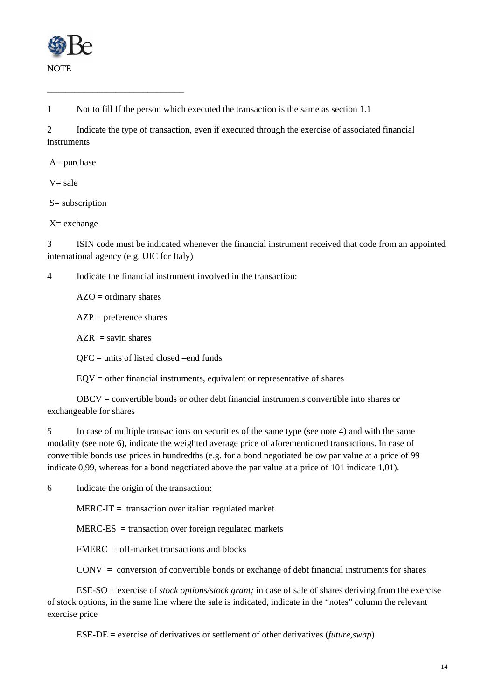

1 Not to fill If the person which executed the transaction is the same as section 1.1

2 Indicate the type of transaction, even if executed through the exercise of associated financial instruments

 $A=$  purchase

 $V = sale$ 

S= subscription

X= exchange

3 ISIN code must be indicated whenever the financial instrument received that code from an appointed international agency (e.g. UIC for Italy)

4 Indicate the financial instrument involved in the transaction:

 $AZO =$  ordinary shares

\_\_\_\_\_\_\_\_\_\_\_\_\_\_\_\_\_\_\_\_\_\_\_\_\_\_\_\_\_\_

 $AZP$  = preference shares

 $AZR =$  savin shares

QFC = units of listed closed –end funds

 $EOV = other financial instruments, equivalent or representative of shares$ 

 OBCV = convertible bonds or other debt financial instruments convertible into shares or exchangeable for shares

5 In case of multiple transactions on securities of the same type (see note 4) and with the same modality (see note 6), indicate the weighted average price of aforementioned transactions. In case of convertible bonds use prices in hundredths (e.g. for a bond negotiated below par value at a price of 99 indicate 0,99, whereas for a bond negotiated above the par value at a price of 101 indicate 1,01).

6 Indicate the origin of the transaction:

 $MERC-IT =$  transaction over italian regulated market

 $MERC-ES$  = transaction over foreign regulated markets

 $FMERC = off-market transactions and blocks$ 

 $CONV = conversion of convertible bonds or exchange of debt financial instruments for shares$ 

 ESE-SO = exercise of *stock options/stock grant;* in case of sale of shares deriving from the exercise of stock options, in the same line where the sale is indicated, indicate in the "notes" column the relevant exercise price

ESE-DE = exercise of derivatives or settlement of other derivatives (*future,swap*)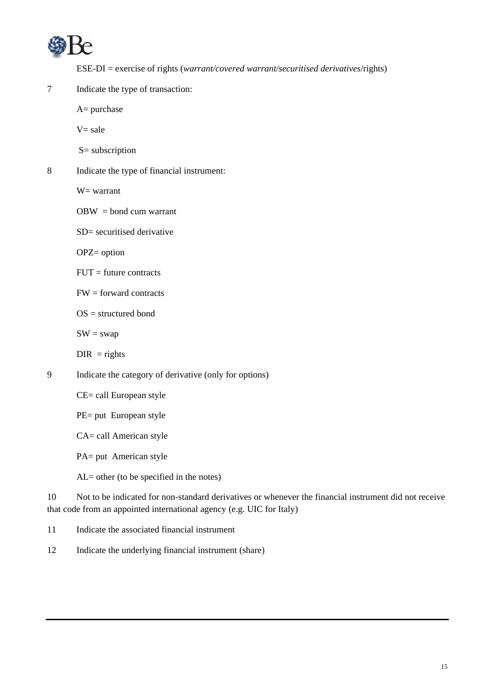

ESE-DI = exercise of rights (*warrant/covered warrant/securitised derivatives*/rights)

7 Indicate the type of transaction:

A= purchase

 $V = sale$ 

- S= subscription
- 8 Indicate the type of financial instrument:

W= warrant

 $OBW = bond$  cum warrant

SD= securitised derivative

OPZ= option

 $FUT =$  future contracts

 $FW = forward contracts$ 

OS = structured bond

 $SW = swap$ 

- $DIR = rights$
- 9 Indicate the category of derivative (only for options)

CE= call European style

PE= put European style

CA= call American style

PA= put American style

AL= other (to be specified in the notes)

10 Not to be indicated for non-standard derivatives or whenever the financial instrument did not receive that code from an appointed international agency (e.g. UIC for Italy)

11 Indicate the associated financial instrument

12 Indicate the underlying financial instrument (share)